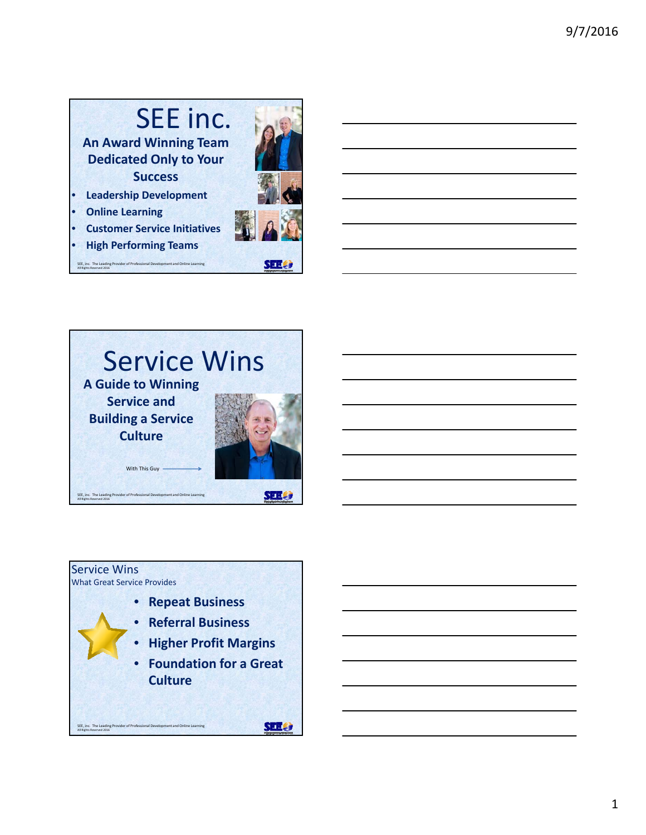## SEE inc. **An Award Winning Team Dedicated Only to Your Success** • **Leadership Development**

- **Online Learning**
- **Customer Service Initiatives**
- **High Performing Teams** SEE, inc. The Leading Provider of Professional Development and Online Learning All Rights Reserved 2016





## Service Wins What Great Service Provides • **Repeat Business** • **Referral Business** • **Higher Profit Margins** • **Foundation for a Great Culture SHLO** SEE, inc. The Leading Provider of Professional Development and Online Learning All Rights Reserved 2016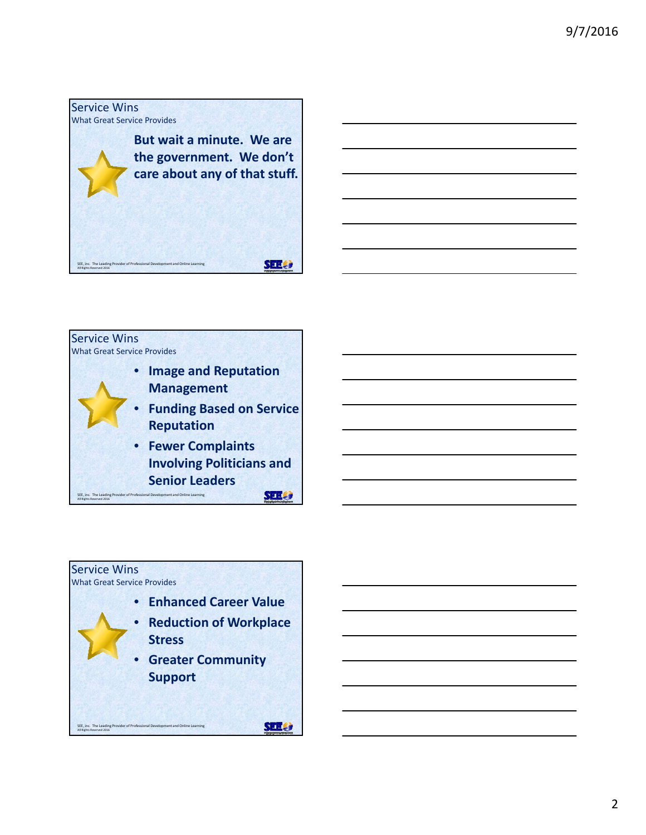

**Management**

**Reputation**

Service Wins

What Great Service Provides

SEE, inc. The Leading Provider of Professional Development and Online Learning All Rights Reserved 2016



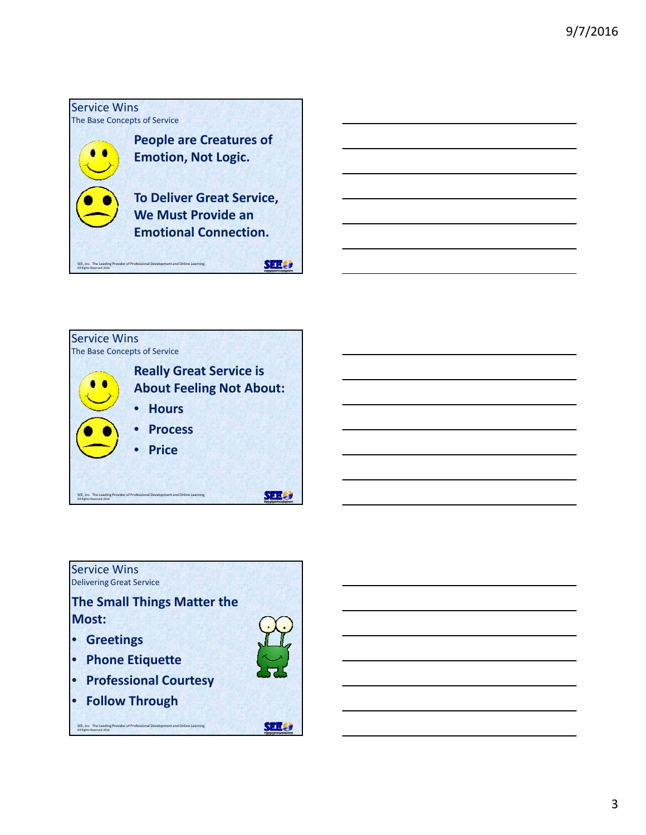





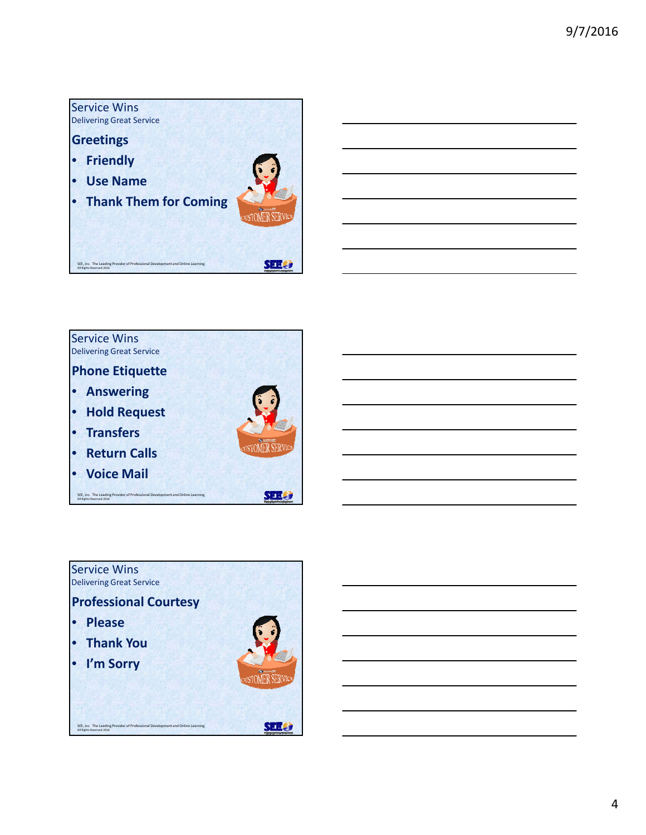



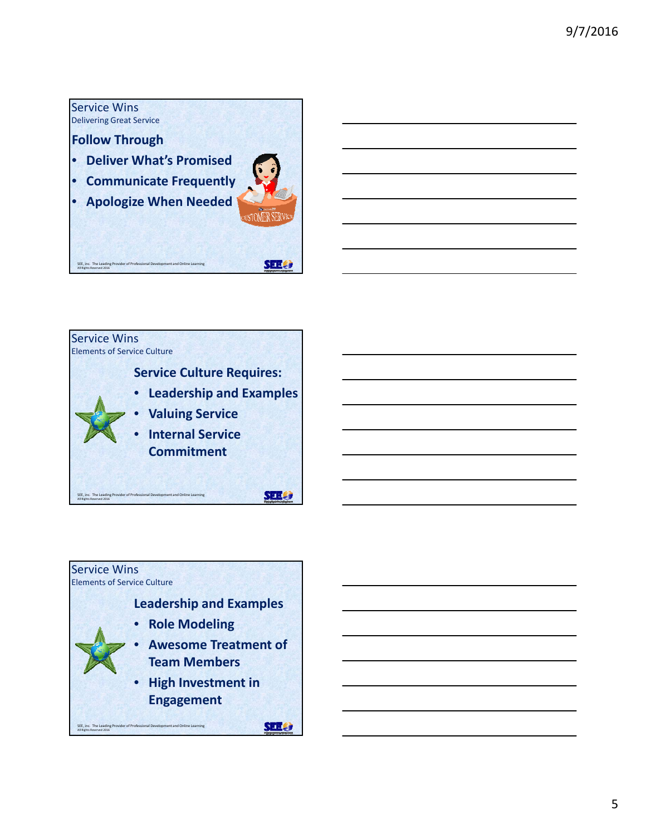



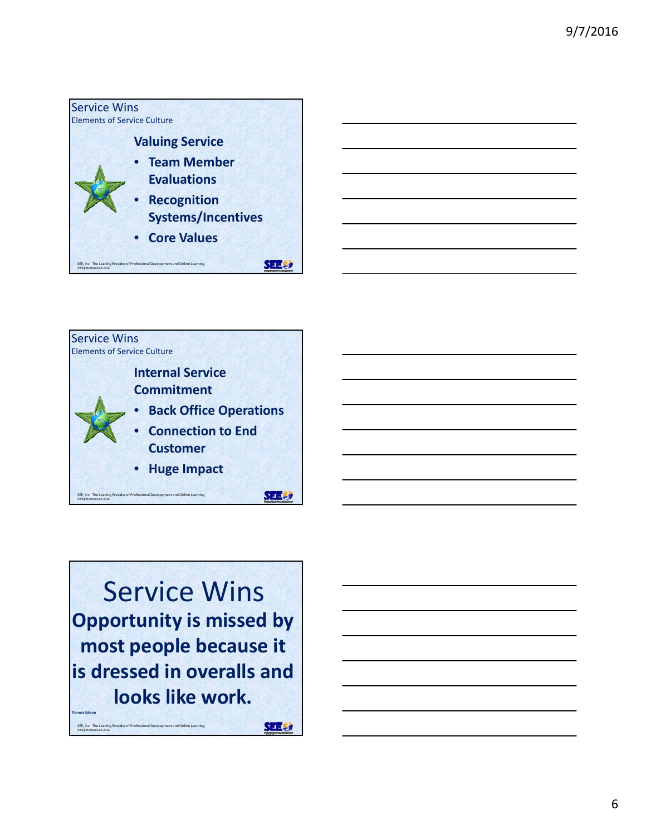



Service Wins **Opportunity is missed by most people because it is dressed in overalls and looks like work. Thomas Edison SER &** 

SEE, inc. The Leading Provider of Professional Development and Online Learning All Rights Reserved 2016